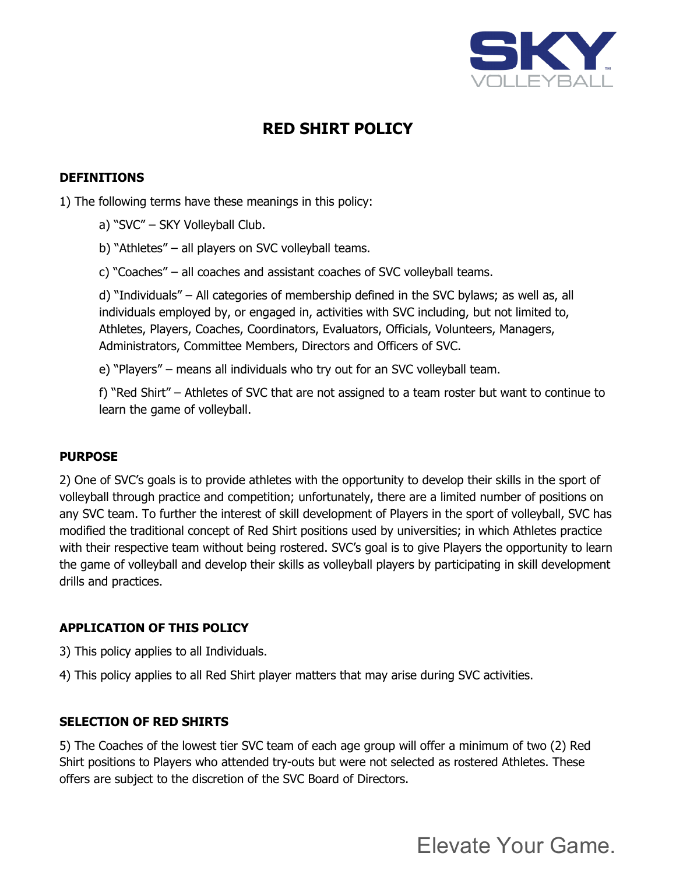

# **RED SHIRT POLICY**

## **DEFINITIONS**

1) The following terms have these meanings in this policy:

- a) "SVC" SKY Volleyball Club.
- b) "Athletes" all players on SVC volleyball teams.
- c) "Coaches" all coaches and assistant coaches of SVC volleyball teams.

d) "Individuals" – All categories of membership defined in the SVC bylaws; as well as, all individuals employed by, or engaged in, activities with SVC including, but not limited to, Athletes, Players, Coaches, Coordinators, Evaluators, Officials, Volunteers, Managers, Administrators, Committee Members, Directors and Officers of SVC.

e) "Players" – means all individuals who try out for an SVC volleyball team.

f) "Red Shirt" – Athletes of SVC that are not assigned to a team roster but want to continue to learn the game of volleyball.

#### **PURPOSE**

2) One of SVC's goals is to provide athletes with the opportunity to develop their skills in the sport of volleyball through practice and competition; unfortunately, there are a limited number of positions on any SVC team. To further the interest of skill development of Players in the sport of volleyball, SVC has modified the traditional concept of Red Shirt positions used by universities; in which Athletes practice with their respective team without being rostered. SVC's goal is to give Players the opportunity to learn the game of volleyball and develop their skills as volleyball players by participating in skill development drills and practices.

#### **APPLICATION OF THIS POLICY**

- 3) This policy applies to all Individuals.
- 4) This policy applies to all Red Shirt player matters that may arise during SVC activities.

#### **SELECTION OF RED SHIRTS**

5) The Coaches of the lowest tier SVC team of each age group will offer a minimum of two (2) Red Shirt positions to Players who attended try-outs but were not selected as rostered Athletes. These offers are subject to the discretion of the SVC Board of Directors.

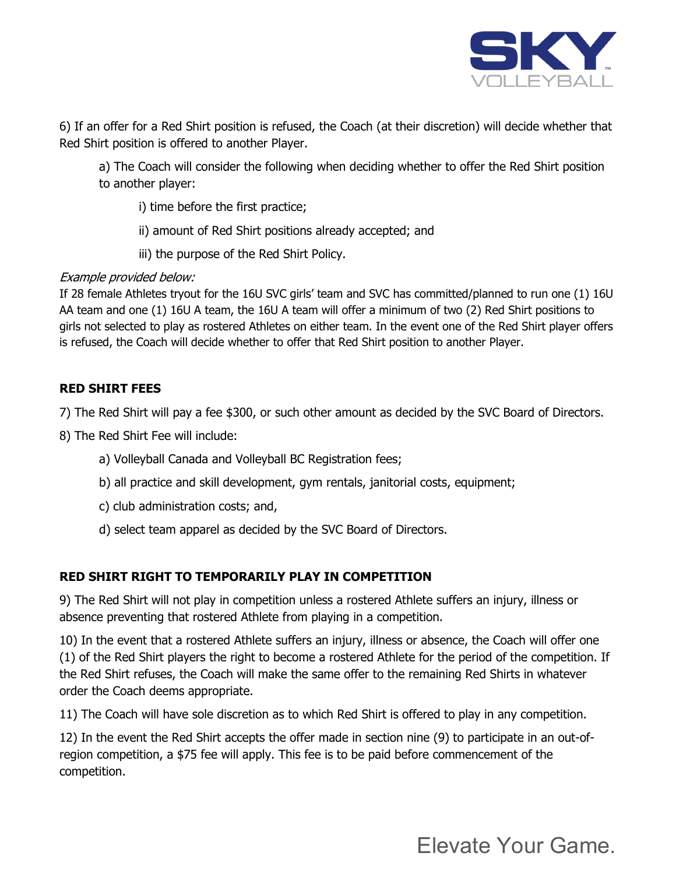

6) If an offer for a Red Shirt position is refused, the Coach (at their discretion) will decide whether that Red Shirt position is offered to another Player.

a) The Coach will consider the following when deciding whether to offer the Red Shirt position to another player:

i) time before the first practice;

ii) amount of Red Shirt positions already accepted; and

iii) the purpose of the Red Shirt Policy.

## Example provided below:

If 28 female Athletes tryout for the 16U SVC girls' team and SVC has committed/planned to run one (1) 16U AA team and one (1) 16U A team, the 16U A team will offer a minimum of two (2) Red Shirt positions to girls not selected to play as rostered Athletes on either team. In the event one of the Red Shirt player offers is refused, the Coach will decide whether to offer that Red Shirt position to another Player.

# **RED SHIRT FEES**

7) The Red Shirt will pay a fee \$300, or such other amount as decided by the SVC Board of Directors.

- 8) The Red Shirt Fee will include:
	- a) Volleyball Canada and Volleyball BC Registration fees;
	- b) all practice and skill development, gym rentals, janitorial costs, equipment;
	- c) club administration costs; and,
	- d) select team apparel as decided by the SVC Board of Directors.

# **RED SHIRT RIGHT TO TEMPORARILY PLAY IN COMPETITION**

9) The Red Shirt will not play in competition unless a rostered Athlete suffers an injury, illness or absence preventing that rostered Athlete from playing in a competition.

10) In the event that a rostered Athlete suffers an injury, illness or absence, the Coach will offer one (1) of the Red Shirt players the right to become a rostered Athlete for the period of the competition. If the Red Shirt refuses, the Coach will make the same offer to the remaining Red Shirts in whatever order the Coach deems appropriate.

11) The Coach will have sole discretion as to which Red Shirt is offered to play in any competition.

12) In the event the Red Shirt accepts the offer made in section nine (9) to participate in an out-ofregion competition, a \$75 fee will apply. This fee is to be paid before commencement of the competition.